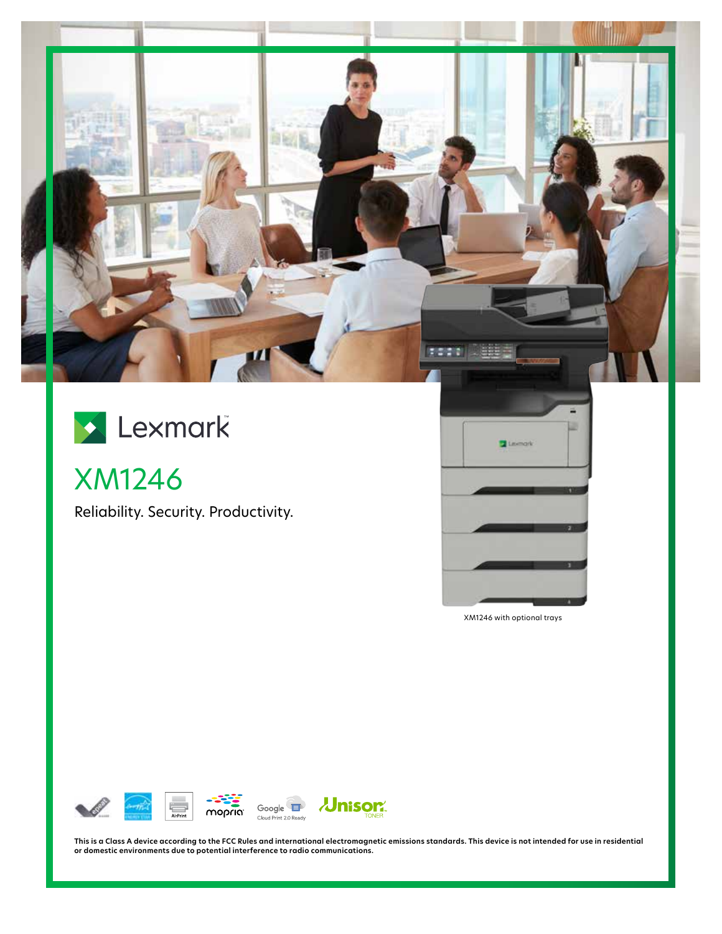

# Lexmark

XM1246

Reliability. Security. Productivity.



XM1246 with optional trays



**This is a Class A device according to the FCC Rules and international electromagnetic emissions standards. This device is not intended for use in residential or domestic environments due to potential interference to radio communications.**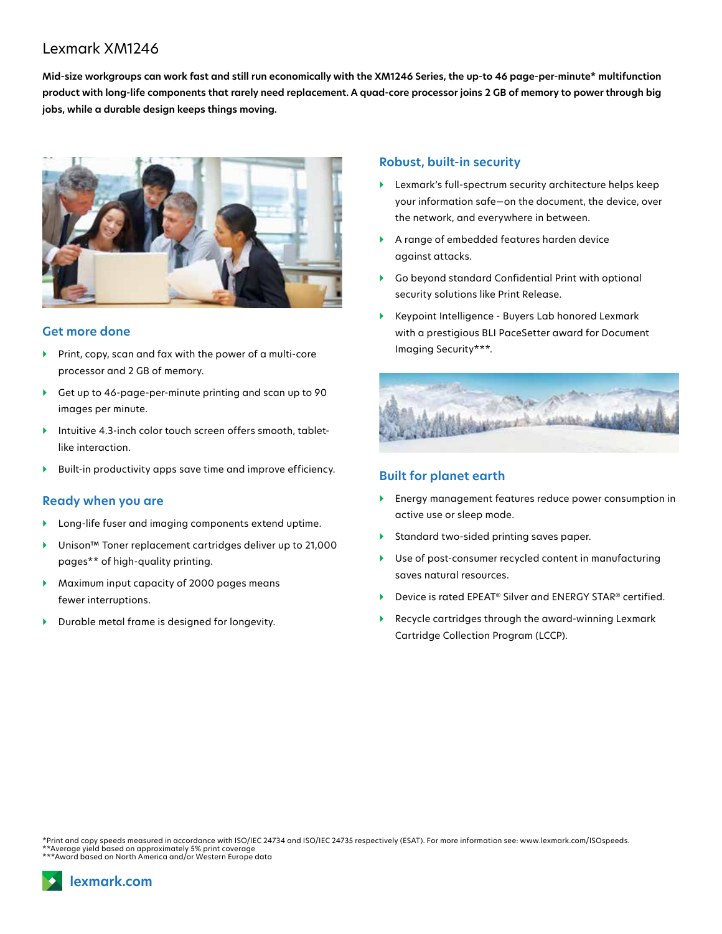## Lexmark XM1246

**Mid-size workgroups can work fast and still run economically with the XM1246 Series, the up-to 46 page-per-minute\* multifunction product with long-life components that rarely need replacement. A quad-core processor joins 2 GB of memory to power through big jobs, while a durable design keeps things moving.**



#### **Get more done**

- } Print, copy, scan and fax with the power of a multi-core processor and 2 GB of memory.
- } Get up to 46-page-per-minute printing and scan up to 90 images per minute.
- } Intuitive 4.3-inch color touch screen offers smooth, tabletlike interaction.
- } Built-in productivity apps save time and improve efficiency.

#### **Ready when you are**

- } Long-life fuser and imaging components extend uptime.
- } Unison™ Toner replacement cartridges deliver up to 21,000 pages\*\* of high-quality printing.
- } Maximum input capacity of 2000 pages means fewer interruptions.
- } Durable metal frame is designed for longevity.

#### **Robust, built-in security**

- } Lexmark's full-spectrum security architecture helps keep your information safe—on the document, the device, over the network, and everywhere in between.
- } A range of embedded features harden device against attacks.
- } Go beyond standard Confidential Print with optional security solutions like Print Release.
- } Keypoint Intelligence Buyers Lab honored Lexmark with a prestigious BLI PaceSetter award for Document Imaging Security\*\*\*.



#### **Built for planet earth**

- } Energy management features reduce power consumption in active use or sleep mode.
- } Standard two-sided printing saves paper.
- } Use of post-consumer recycled content in manufacturing saves natural resources.
- ▶ Device is rated EPEAT<sup>®</sup> Silver and ENERGY STAR<sup>®</sup> certified.
- } Recycle cartridges through the award-winning Lexmark Cartridge Collection Program (LCCP).

\*Print and copy speeds measured in accordance with ISO/IEC 24734 and ISO/IEC 24735 respectively (ESAT). For more information see: www.lexmark.com/ISOspeeds. \*\*Average yield based on approximately 5% print coverage \*\*\*Award based on North America and/or Western Europe data

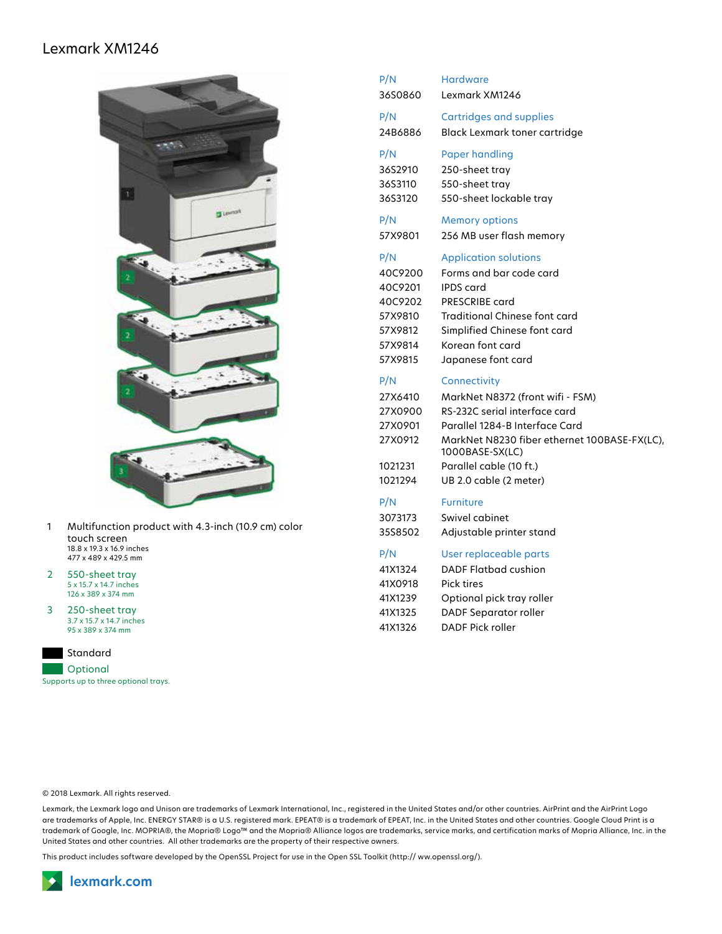### Lexmark XM1246



- 1 Multifunction product with 4.3-inch (10.9 cm) color touch screen 18.8 x 19.3 x 16.9 inches 477 x 489 x 429.5 mm
- 2 550-sheet tray 5 x 15.7 x 14.7 inches 126 x 389 x 374 mm
- 3 250-sheet tray 3.7 x 15.7 x 14.7 inches 95 x 389 x 374 mm



| P/N                                                 | <b>Cartridges and supplies</b>                                                                                                                                                          |
|-----------------------------------------------------|-----------------------------------------------------------------------------------------------------------------------------------------------------------------------------------------|
| 24B6886                                             | <b>Black Lexmark toner cartridge</b>                                                                                                                                                    |
| P/N                                                 | <b>Paper handling</b>                                                                                                                                                                   |
| 36S2910                                             | 250-sheet tray                                                                                                                                                                          |
| 36S3110                                             | 550-sheet tray                                                                                                                                                                          |
| 36S3120                                             | 550-sheet lockable tray                                                                                                                                                                 |
| P/N                                                 | <b>Memory options</b>                                                                                                                                                                   |
| 57X9801                                             | 256 MB user flash memory                                                                                                                                                                |
| P/N                                                 | <b>Application solutions</b>                                                                                                                                                            |
| 40C9200                                             | Forms and bar code card                                                                                                                                                                 |
| 40C9201                                             | <b>IPDS</b> card                                                                                                                                                                        |
| 40C9202                                             | PRESCRIBE card                                                                                                                                                                          |
| 57X9810                                             | <b>Traditional Chinese font card</b>                                                                                                                                                    |
| 57X9812                                             | Simplified Chinese font card                                                                                                                                                            |
| 57X9814                                             | Korean font card                                                                                                                                                                        |
| 57X9815                                             | Japanese font card                                                                                                                                                                      |
| P/N                                                 | Connectivity                                                                                                                                                                            |
| 27X6410                                             | MarkNet N8372 (front wifi - FSM)                                                                                                                                                        |
| 27X0900<br>27X0901<br>27X0912<br>1021231<br>1021294 | RS-232C serial interface card<br>Parallel 1284-B Interface Card<br>MarkNet N8230 fiber ethernet 100BASE-FX(LC),<br>1000BASE-SX(LC)<br>Parallel cable (10 ft.)<br>UB 2.0 cable (2 meter) |
| P/N                                                 | <b>Furniture</b>                                                                                                                                                                        |
| 3073173                                             | Swivel cabinet                                                                                                                                                                          |
| 35S8502                                             | Adjustable printer stand                                                                                                                                                                |

P/N Hardware 36S0860 Lexmark XM1246

© 2018 Lexmark. All rights reserved.

Lexmark, the Lexmark logo and Unison are trademarks of Lexmark International, Inc., registered in the United States and/or other countries. AirPrint and the AirPrint Logo are trademarks of Apple, Inc. ENERGY STAR® is a U.S. registered mark. EPEAT® is a trademark of EPEAT, Inc. in the United States and other countries. Google Cloud Print is a trademark of Google, Inc. MOPRIA®, the Mopria® Logo™ and the Mopria® Alliance logos are trademarks, service marks, and certification marks of Mopria Alliance, Inc. in the United States and other countries. All other trademarks are the property of their respective owners.

This product includes software developed by the OpenSSL Project for use in the Open SSL Toolkit (http:// ww.openssl.org/).